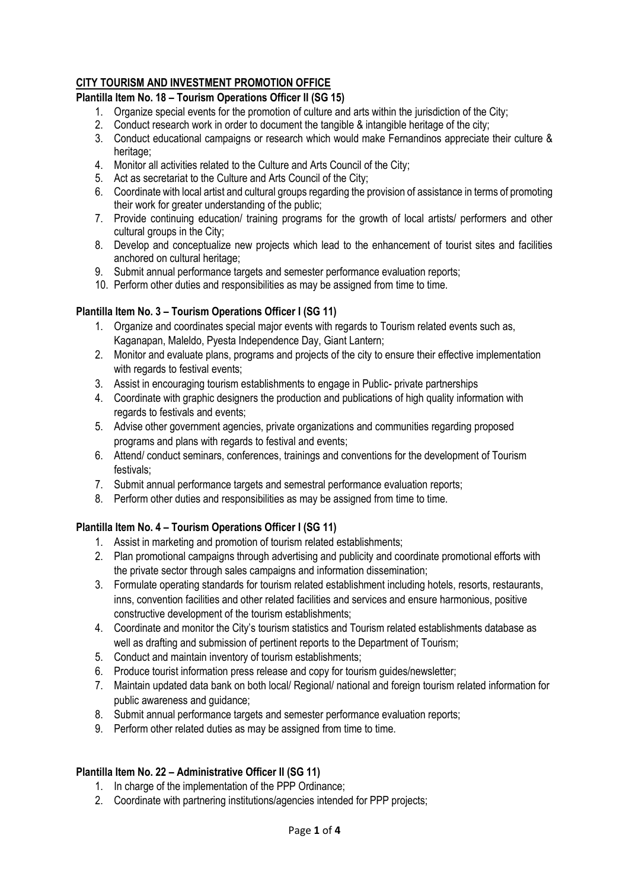# **CITY TOURISM AND INVESTMENT PROMOTION OFFICE**

## **Plantilla Item No. 18 – Tourism Operations Officer II (SG 15)**

- 1. Organize special events for the promotion of culture and arts within the jurisdiction of the City;
- 2. Conduct research work in order to document the tangible & intangible heritage of the city;
- 3. Conduct educational campaigns or research which would make Fernandinos appreciate their culture & heritage;
- 4. Monitor all activities related to the Culture and Arts Council of the City;
- 5. Act as secretariat to the Culture and Arts Council of the City;
- 6. Coordinate with local artist and cultural groups regarding the provision of assistance in terms of promoting their work for greater understanding of the public;
- 7. Provide continuing education/ training programs for the growth of local artists/ performers and other cultural groups in the City;
- 8. Develop and conceptualize new projects which lead to the enhancement of tourist sites and facilities anchored on cultural heritage;
- 9. Submit annual performance targets and semester performance evaluation reports;
- 10. Perform other duties and responsibilities as may be assigned from time to time.

### **Plantilla Item No. 3 – Tourism Operations Officer I (SG 11)**

- 1. Organize and coordinates special major events with regards to Tourism related events such as, Kaganapan, Maleldo, Pyesta Independence Day, Giant Lantern;
- 2. Monitor and evaluate plans, programs and projects of the city to ensure their effective implementation with regards to festival events:
- 3. Assist in encouraging tourism establishments to engage in Public- private partnerships
- 4. Coordinate with graphic designers the production and publications of high quality information with regards to festivals and events;
- 5. Advise other government agencies, private organizations and communities regarding proposed programs and plans with regards to festival and events;
- 6. Attend/ conduct seminars, conferences, trainings and conventions for the development of Tourism festivals;
- 7. Submit annual performance targets and semestral performance evaluation reports;
- 8. Perform other duties and responsibilities as may be assigned from time to time.

## **Plantilla Item No. 4 – Tourism Operations Officer I (SG 11)**

- 1. Assist in marketing and promotion of tourism related establishments;
- 2. Plan promotional campaigns through advertising and publicity and coordinate promotional efforts with the private sector through sales campaigns and information dissemination;
- 3. Formulate operating standards for tourism related establishment including hotels, resorts, restaurants, inns, convention facilities and other related facilities and services and ensure harmonious, positive constructive development of the tourism establishments;
- 4. Coordinate and monitor the City's tourism statistics and Tourism related establishments database as well as drafting and submission of pertinent reports to the Department of Tourism;
- 5. Conduct and maintain inventory of tourism establishments;
- 6. Produce tourist information press release and copy for tourism guides/newsletter;
- 7. Maintain updated data bank on both local/ Regional/ national and foreign tourism related information for public awareness and guidance;
- 8. Submit annual performance targets and semester performance evaluation reports;
- 9. Perform other related duties as may be assigned from time to time.

## **Plantilla Item No. 22 – Administrative Officer II (SG 11)**

- 1. In charge of the implementation of the PPP Ordinance;
- 2. Coordinate with partnering institutions/agencies intended for PPP projects;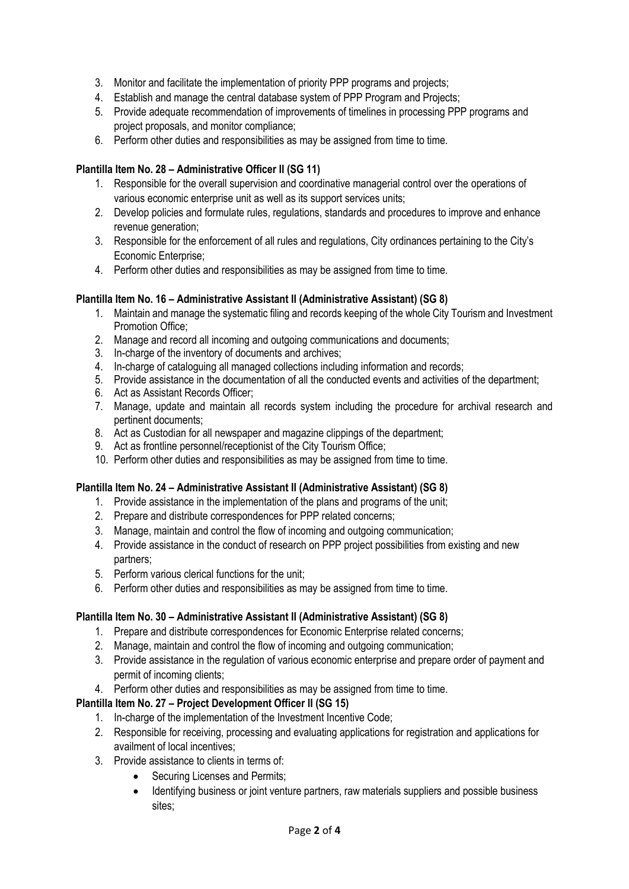- 3. Monitor and facilitate the implementation of priority PPP programs and projects;
- 4. Establish and manage the central database system of PPP Program and Projects;
- 5. Provide adequate recommendation of improvements of timelines in processing PPP programs and project proposals, and monitor compliance;
- 6. Perform other duties and responsibilities as may be assigned from time to time.

## **Plantilla Item No. 28 – Administrative Officer II (SG 11)**

- 1. Responsible for the overall supervision and coordinative managerial control over the operations of various economic enterprise unit as well as its support services units;
- 2. Develop policies and formulate rules, regulations, standards and procedures to improve and enhance revenue generation;
- 3. Responsible for the enforcement of all rules and regulations, City ordinances pertaining to the City's Economic Enterprise;
- 4. Perform other duties and responsibilities as may be assigned from time to time.

### **Plantilla Item No. 16 – Administrative Assistant II (Administrative Assistant) (SG 8)**

- 1. Maintain and manage the systematic filing and records keeping of the whole City Tourism and Investment Promotion Office;
- 2. Manage and record all incoming and outgoing communications and documents;
- 3. In-charge of the inventory of documents and archives;
- 4. In-charge of cataloguing all managed collections including information and records;
- 5. Provide assistance in the documentation of all the conducted events and activities of the department;
- 6. Act as Assistant Records Officer;
- 7. Manage, update and maintain all records system including the procedure for archival research and pertinent documents;
- 8. Act as Custodian for all newspaper and magazine clippings of the department;
- 9. Act as frontline personnel/receptionist of the City Tourism Office;
- 10. Perform other duties and responsibilities as may be assigned from time to time.

### **Plantilla Item No. 24 – Administrative Assistant II (Administrative Assistant) (SG 8)**

- 1. Provide assistance in the implementation of the plans and programs of the unit;
- 2. Prepare and distribute correspondences for PPP related concerns;
- 3. Manage, maintain and control the flow of incoming and outgoing communication;
- 4. Provide assistance in the conduct of research on PPP project possibilities from existing and new partners;
- 5. Perform various clerical functions for the unit;
- 6. Perform other duties and responsibilities as may be assigned from time to time.

### **Plantilla Item No. 30 – Administrative Assistant II (Administrative Assistant) (SG 8)**

- 1. Prepare and distribute correspondences for Economic Enterprise related concerns;
- 2. Manage, maintain and control the flow of incoming and outgoing communication;
- 3. Provide assistance in the regulation of various economic enterprise and prepare order of payment and permit of incoming clients;
- 4. Perform other duties and responsibilities as may be assigned from time to time.

## **Plantilla Item No. 27 – Project Development Officer II (SG 15)**

- 1. In-charge of the implementation of the Investment Incentive Code;
- 2. Responsible for receiving, processing and evaluating applications for registration and applications for availment of local incentives;
- 3. Provide assistance to clients in terms of:
	- Securing Licenses and Permits:
	- Identifying business or joint venture partners, raw materials suppliers and possible business sites;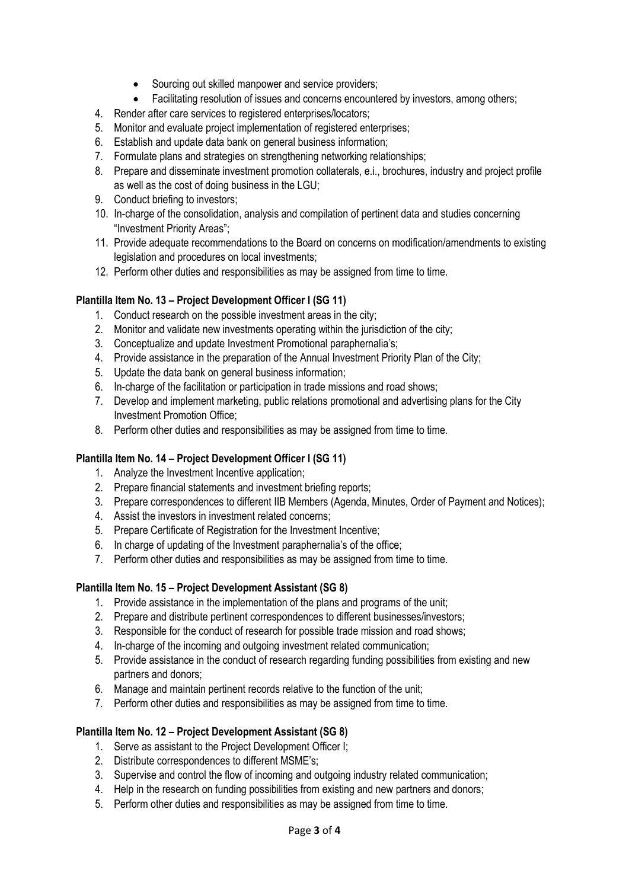- Sourcing out skilled manpower and service providers;
- Facilitating resolution of issues and concerns encountered by investors, among others;
- 4. Render after care services to registered enterprises/locators;
- 5. Monitor and evaluate project implementation of registered enterprises;
- 6. Establish and update data bank on general business information;
- 7. Formulate plans and strategies on strengthening networking relationships;
- 8. Prepare and disseminate investment promotion collaterals, e.i., brochures, industry and project profile as well as the cost of doing business in the LGU;
- 9. Conduct briefing to investors;
- 10. In-charge of the consolidation, analysis and compilation of pertinent data and studies concerning "Investment Priority Areas";
- 11. Provide adequate recommendations to the Board on concerns on modification/amendments to existing legislation and procedures on local investments;
- 12. Perform other duties and responsibilities as may be assigned from time to time.

### **Plantilla Item No. 13 – Project Development Officer I (SG 11)**

- 1. Conduct research on the possible investment areas in the city;
- 2. Monitor and validate new investments operating within the jurisdiction of the city;
- 3. Conceptualize and update Investment Promotional paraphernalia's;
- 4. Provide assistance in the preparation of the Annual Investment Priority Plan of the City;
- 5. Update the data bank on general business information;
- 6. In-charge of the facilitation or participation in trade missions and road shows;
- 7. Develop and implement marketing, public relations promotional and advertising plans for the City Investment Promotion Office;
- 8. Perform other duties and responsibilities as may be assigned from time to time.

### **Plantilla Item No. 14 – Project Development Officer I (SG 11)**

- 1. Analyze the Investment Incentive application;
- 2. Prepare financial statements and investment briefing reports;
- 3. Prepare correspondences to different IIB Members (Agenda, Minutes, Order of Payment and Notices);
- 4. Assist the investors in investment related concerns;
- 5. Prepare Certificate of Registration for the Investment Incentive;
- 6. In charge of updating of the Investment paraphernalia's of the office;
- 7. Perform other duties and responsibilities as may be assigned from time to time.

### **Plantilla Item No. 15 – Project Development Assistant (SG 8)**

- 1. Provide assistance in the implementation of the plans and programs of the unit;
- 2. Prepare and distribute pertinent correspondences to different businesses/investors;
- 3. Responsible for the conduct of research for possible trade mission and road shows;
- 4. In-charge of the incoming and outgoing investment related communication;
- 5. Provide assistance in the conduct of research regarding funding possibilities from existing and new partners and donors;
- 6. Manage and maintain pertinent records relative to the function of the unit;
- 7. Perform other duties and responsibilities as may be assigned from time to time.

## **Plantilla Item No. 12 – Project Development Assistant (SG 8)**

- 1. Serve as assistant to the Project Development Officer I;
- 2. Distribute correspondences to different MSME's;
- 3. Supervise and control the flow of incoming and outgoing industry related communication;
- 4. Help in the research on funding possibilities from existing and new partners and donors;
- 5. Perform other duties and responsibilities as may be assigned from time to time.